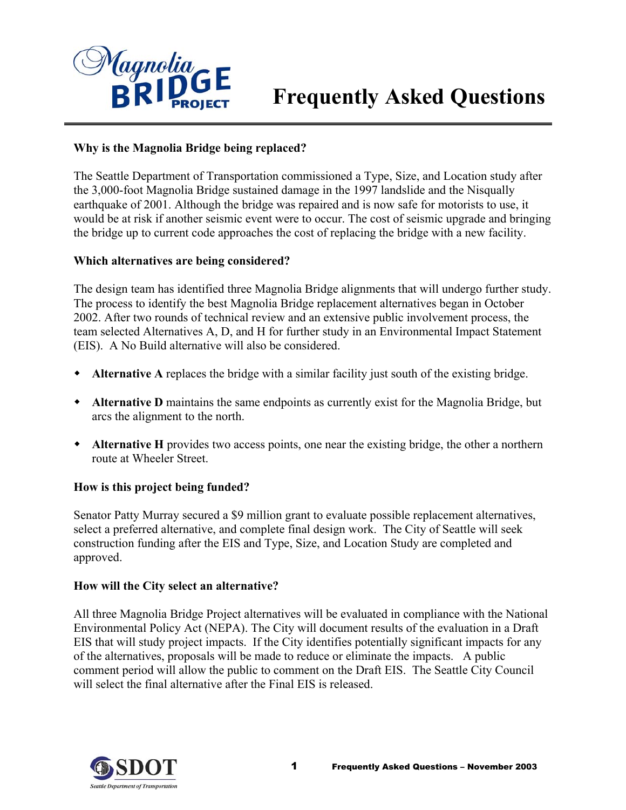

# **Frequently Asked Questions**

### **Why is the Magnolia Bridge being replaced?**

The Seattle Department of Transportation commissioned a Type, Size, and Location study after the 3,000-foot Magnolia Bridge sustained damage in the 1997 landslide and the Nisqually earthquake of 2001. Although the bridge was repaired and is now safe for motorists to use, it would be at risk if another seismic event were to occur. The cost of seismic upgrade and bring ing the bridge up to current code approaches the cost of replacing the bridge with a new facility.

#### **hich alternatives are being considered? W**

The design team has identified three Magnolia Bridge alignments that will undergo further study. team selected Alternatives A, D, and H for further study in an Environmental Impact Statement (EIS). A No Build alternative will also be considered. The process to identify the best Magnolia Bridge replacement alternatives began in October 2002. After two rounds of technical review and an extensive public involvement process, the

- **Alternative A** replaces the bridge with a similar facility just south of the existing bridge.  $\bullet$
- **Alternative D** maintains the same endpoints as currently exist for the Magnolia Bridge, but arcs the alignment to the north.
- Alternative H provides two access points, one near the existing bridge, the other a northern route at Wheeler Street.

## How is this project being funded?

Senator Patty Murray secured a \$9 million grant to evaluate possible replacement alternatives, select a preferred alternative, and complete final design work. The City of Seattle will seek construction funding after the EIS and Type, Size, and Location Study are completed and approved.

#### How will the City select an alternative?

All three Magnolia Bridge Project alternatives will be evaluated in compliance with the National EIS that will study project impacts. If the City identifies potentially significant impacts for any comment period will allow the public to comment on the Draft EIS. The Seattle City Council will select the final alternative after the Final EIS is released. Environmental Policy Act (NEPA). The City will document results of the evaluation in a Draft of the alternatives, proposals will be made to reduce or eliminate the impacts. A public